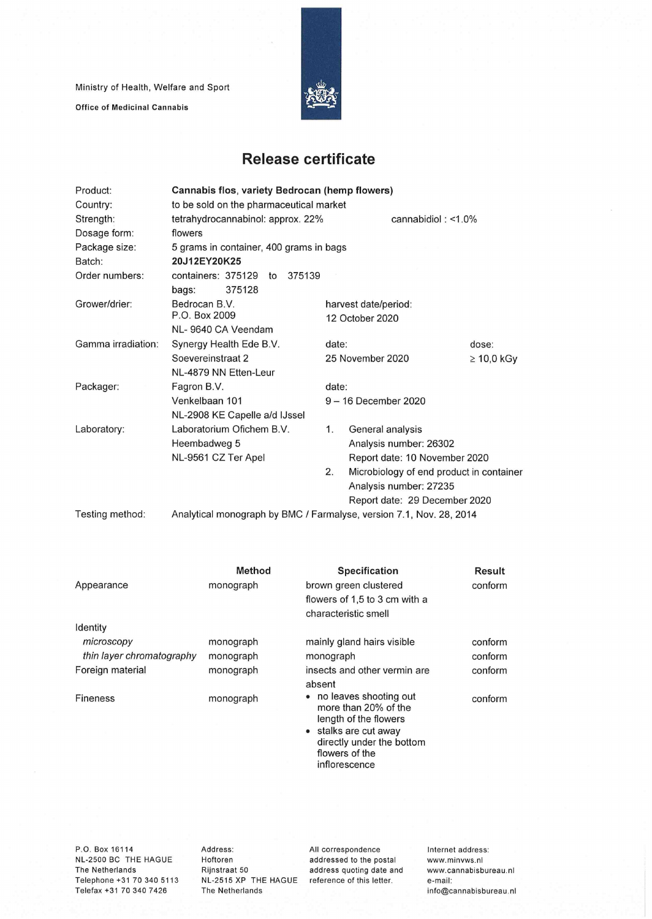Ministry of Health, Welfare and Sport

Office of Medicinal Cannabis



## **Release certificate**

| Product:           | Cannabis flos, variety Bedrocan (hemp flowers)                      |                                                |                               |                       |  |  |  |
|--------------------|---------------------------------------------------------------------|------------------------------------------------|-------------------------------|-----------------------|--|--|--|
| Country:           | to be sold on the pharmaceutical market                             |                                                |                               |                       |  |  |  |
| Strength:          | tetrahydrocannabinol: approx. 22%                                   |                                                |                               | cannabidiol: $<$ 1.0% |  |  |  |
| Dosage form:       | flowers                                                             |                                                |                               |                       |  |  |  |
| Package size:      | 5 grams in container, 400 grams in bags                             |                                                |                               |                       |  |  |  |
| Batch:             | 20J12EY20K25                                                        |                                                |                               |                       |  |  |  |
| Order numbers:     | containers: 375129<br>375139<br>to                                  |                                                |                               |                       |  |  |  |
|                    | 375128<br>bags:                                                     |                                                |                               |                       |  |  |  |
| Grower/drier:      | Bedrocan B.V.                                                       |                                                | harvest date/period:          |                       |  |  |  |
|                    | P.O. Box 2009                                                       |                                                | 12 October 2020               |                       |  |  |  |
|                    | NL-9640 CA Veendam                                                  |                                                |                               |                       |  |  |  |
| Gamma irradiation: | Synergy Health Ede B.V.                                             | date:                                          |                               | dose:                 |  |  |  |
|                    | Soevereinstraat 2                                                   |                                                | 25 November 2020              | $\geq 10,0$ kGy       |  |  |  |
|                    | NL-4879 NN Etten-Leur                                               |                                                |                               |                       |  |  |  |
| Packager:          | Fagron B.V.                                                         | date:                                          |                               |                       |  |  |  |
|                    | Venkelbaan 101                                                      |                                                | 9 - 16 December 2020          |                       |  |  |  |
|                    | NL-2908 KE Capelle a/d IJssel                                       |                                                |                               |                       |  |  |  |
| Laboratory:        | Laboratorium Ofichem B.V.                                           | 1.                                             | General analysis              |                       |  |  |  |
|                    | Heembadweg 5                                                        |                                                | Analysis number: 26302        |                       |  |  |  |
|                    | NL-9561 CZ Ter Apel                                                 |                                                | Report date: 10 November 2020 |                       |  |  |  |
|                    |                                                                     | 2.<br>Microbiology of end product in container |                               |                       |  |  |  |
|                    |                                                                     |                                                | Analysis number: 27235        |                       |  |  |  |
|                    |                                                                     |                                                | Report date: 29 December 2020 |                       |  |  |  |
| Testing method:    | Analytical monograph by BMC / Farmalyse, version 7.1, Nov. 28, 2014 |                                                |                               |                       |  |  |  |

|                           | Method    | Specification                                                                                                                                                      | Result  |
|---------------------------|-----------|--------------------------------------------------------------------------------------------------------------------------------------------------------------------|---------|
| Appearance                | monograph | brown green clustered                                                                                                                                              | conform |
|                           |           | flowers of 1,5 to 3 cm with a                                                                                                                                      |         |
|                           |           | characteristic smell                                                                                                                                               |         |
| Identity                  |           |                                                                                                                                                                    |         |
| microscopy                | monograph | mainly gland hairs visible                                                                                                                                         | conform |
| thin layer chromatography | monograph | monograph                                                                                                                                                          | conform |
| Foreign material          | monograph | insects and other vermin are                                                                                                                                       | conform |
|                           |           | absent                                                                                                                                                             |         |
| <b>Fineness</b>           | monograph | • no leaves shooting out<br>more than 20% of the<br>length of the flowers<br>• stalks are cut away<br>directly under the bottom<br>flowers of the<br>inflorescence | conform |

P.O. Box 16114 NL-2500 BC THE HAGUE The Netherlands Telephone +31 70 340 5113 Telefax +31 70 340 7426

Address: Hoftoren Rijnstraat 50 The Netherlands

NL-2515 XP THE HAGUE reference of this letter. All correspondence addressed to the postai address quoting date and Internet address: www.minvws.n1 www.cannabisbureau.n1 e-mail: info@cannabisbureau.nl